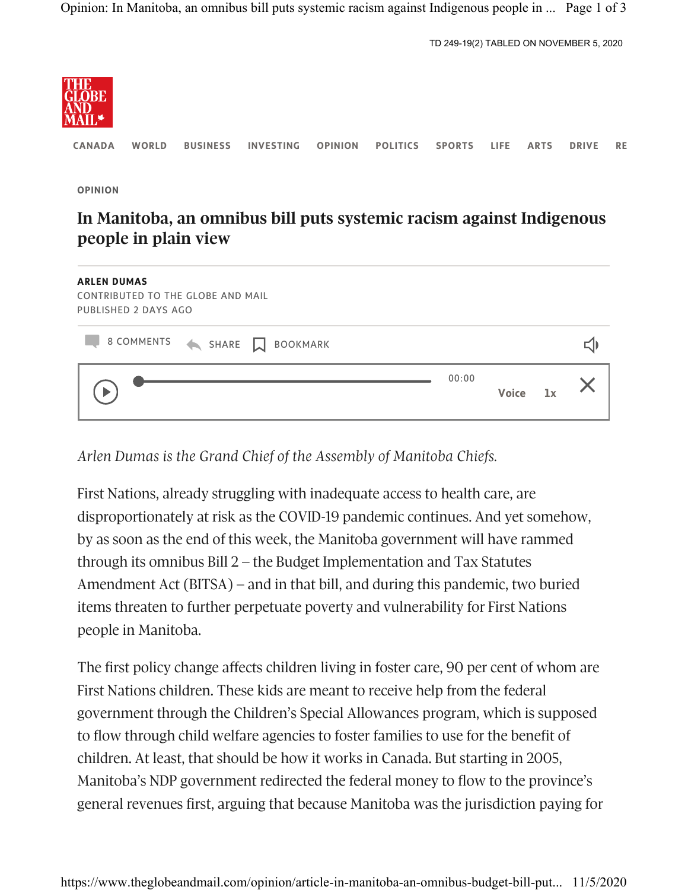```
TD 249-19(2) TABLED ON NOVEMBER 5, 2020
```


CANADA WORLD BUSINESS INVESTING OPINION POLITICS SPORTS LIFE ARTS DRIVE RE

OPINION

## In Manitoba, an omnibus bill puts systemic racism against Indigenous people in plain view

| <b>ARLEN DUMAS</b><br><b>CONTRIBUTED TO THE GLOBE AND MAIL</b><br>PUBLISHED 2 DAYS AGO |       |              |    |  |
|----------------------------------------------------------------------------------------|-------|--------------|----|--|
| 8 COMMENTS<br>SHARE N<br><b>BOOKMARK</b>                                               |       |              |    |  |
|                                                                                        | 00:00 | <b>Voice</b> | 1x |  |

Arlen Dumas is the Grand Chief of the Assembly of Manitoba Chiefs.

First Nations, already struggling with inadequate access to health care, are disproportionately at risk as the COVID-19 pandemic continues. And yet somehow, by as soon as the end of this week, the Manitoba government will have rammed through its omnibus Bill 2 – the Budget Implementation and Tax Statutes Amendment Act (BITSA) – and in that bill, and during this pandemic, two buried items threaten to further perpetuate poverty and vulnerability for First Nations people in Manitoba.

The first policy change affects children living in foster care, 90 per cent of whom are First Nations children. These kids are meant to receive help from the federal government through the Children's Special Allowances program, which is supposed to flow through child welfare agencies to foster families to use for the benefit of children. At least, that should be how it works in Canada. But starting in 2005, Manitoba's NDP government redirected the federal money to flow to the province's general revenues first, arguing that because Manitoba was the jurisdiction paying for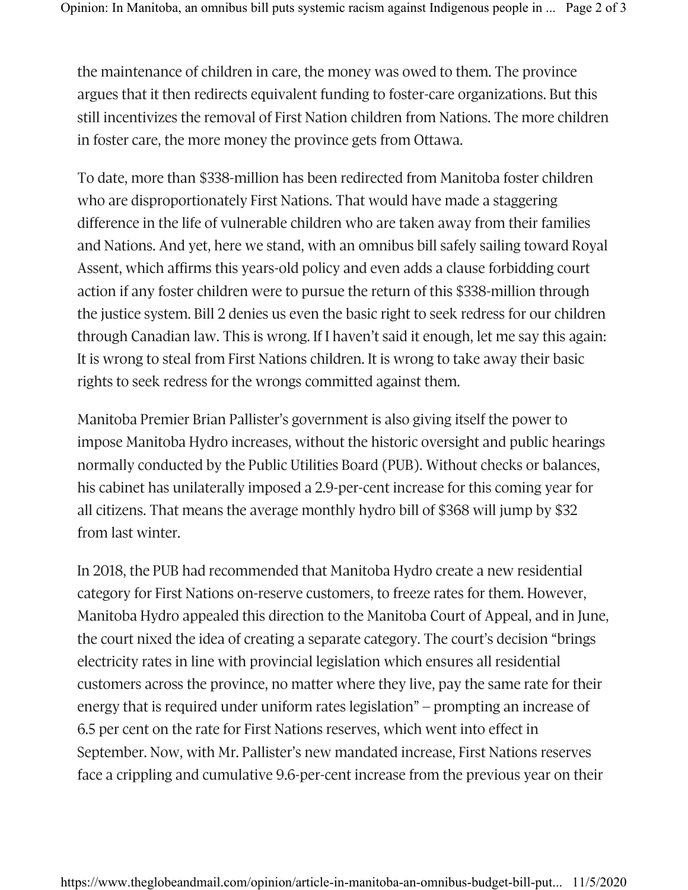the maintenance of children in care, the money was owed to them. The province argues that it then redirects equivalent funding to foster-care organizations. But this still incentivizes the removal of First Nation children from Nations. The more children in foster care, the more money the province gets from Ottawa.

To date, more than \$338-million has been redirected from Manitoba foster children who are disproportionately First Nations. That would have made a staggering difference in the life of vulnerable children who are taken away from their families and Nations. And yet, here we stand, with an omnibus bill safely sailing toward Royal Assent, which affirms this years-old policy and even adds a clause forbidding court action if any foster children were to pursue the return of this \$338-million through the justice system. Bill 2 denies us even the basic right to seek redress for our children through Canadian law. This is wrong. If I haven't said it enough, let me say this again: It is wrong to steal from First Nations children. It is wrong to take away their basic rights to seek redress for the wrongs committed against them.

Manitoba Premier Brian Pallister's government is also giving itself the power to impose Manitoba Hydro increases, without the historic oversight and public hearings normally conducted by the Public Utilities Board (PUB). Without checks or balances, his cabinet has unilaterally imposed a 2.9-per-cent increase for this coming year for all citizens. That means the average monthly hydro bill of \$368 will jump by \$32 from last winter.

In 2018, the PUB had recommended that Manitoba Hydro create a new residential category for First Nations on-reserve customers, to freeze rates for them. However, Manitoba Hydro appealed this direction to the Manitoba Court of Appeal, and in June, the court nixed the idea of creating a separate category. The court's decision "brings electricity rates in line with provincial legislation which ensures all residential customers across the province, no matter where they live, pay the same rate for their energy that is required under uniform rates legislation" – prompting an increase of 6.5 per cent on the rate for First Nations reserves, which went into effect in September. Now, with Mr. Pallister's new mandated increase, First Nations reserves face a crippling and cumulative 9.6-per-cent increase from the previous year on their